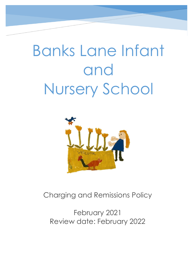# Banks Lane Infant and Nursery School



Charging and Remissions Policy

February 2021 Review date: February 2022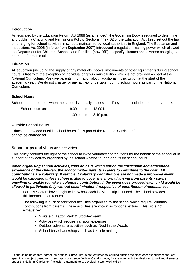## **Introduction**

As legislated by the Education Reform Act 1988 (as amended), the Governing Body is required to determine and publish a Charging and Remissions Policy. Sections 449-462 of the Education Act 1996 set out the law on charging for school activities in schools maintained by local authorities in England. The Education and Inspections Act 2006 (in force from September 2007) introduced a regulation-making power which allowed the Department for Children, Schools and Families (now DfE) to specify circumstances where charging can be made for music tuition.

## **Education**

All education (including the supply of any materials, books, instruments or other equipment) during school hours is free with the exception of individual or group music tuition which is not provided as part of the National Curriculum. We give parents information about additional music tuition at the start of the academic year. We do not charge for any activity undertaken during school hours as part of the National Curriculum.

## **School Hours**

School hours are those when the school is actually in session. They do not include the mid-day break.

| School hours are: | 9.00 a.m. to 12.00 Noon  |  |
|-------------------|--------------------------|--|
|                   | 1.00 p.m. to $3.10$ p.m. |  |

## **Outside School Hours**

Education provided outside school hours if it is part of the National Curriculum<sup>1</sup> cannot be charged for.

# **School trips and visits and activities**

This policy confirms the right of the school to invite voluntary contributions for the benefit of the school or in support of any activity organised by the school whether during or outside school hours.

*When organising school activities, trips or visits which enrich the curriculum and educational experience of the children, the school invites parents / carers to contribute to the cost. All contributions are voluntary. If sufficient voluntary contributions are not made a proposed event would be cancelled unless school is able to cover the shortfall arising from parents / carers unwilling or unable to make a voluntary contribution. If the event does proceed each child would be allowed to participate fully without discrimination irrespective of contribution circumstances.*

Parents / Carers have a right to know how each individual trip is funded. The school provides this information on request.

The following is a list of additional activities organised by the school which require voluntary contributions from parents. These activities are known as 'optional extras'. This list is not exhaustive:

- Visits e.g. Tatton Park & Stockley Farm
- Activities which require transport expenses
- Outdoor adventure activities such as 'Nest in the Woods'
- School based workshops such as Ukulele making

<sup>1</sup> It should be noted that 'part of the National Curriculum' is not restricted to learning outside the classroom experiences that are specifically subject based (e.g. geography or science fieldwork) and include, for example, activities designed to fulfil requirements under the National Curriculum 'inclusion statement' (e.g. developing teamwork skills).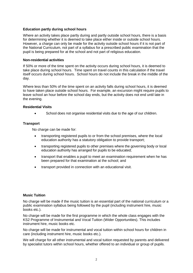# **Education partly during school hours**

Where an activity takes place partly during and partly outside school hours, there is a basis for determining whether it is deemed to take place either inside or outside school hours. However, a charge can only be made for the activity outside school hours if it is not part of the National Curriculum, not part of a syllabus for a prescribed public examination that the pupil is being prepared for at the school and not part of religious education.

# **Non-residential activities**

If 50% or more of the time spent on the activity occurs during school hours, it is deemed to take place during school hours. Time spent on travel counts in this calculation if the travel itself occurs during school hours. School hours do not include the break in the middle of the day.

Where less than 50% of the time spent on an activity falls during school hours, it is deemed to have taken place outside school hours. For example, an excursion might require pupils to leave school an hour before the school day ends, but the activity does not end until late in the evening.

## **Residential Visits**

School does not organise residential visits due to the age of our children.

# **Transport**

No charge can be made for:

- transporting registered pupils to or from the school premises, where the local education authority has a statutory obligation to provide transport;
- transporting registered pupils to other premises where the governing body or local education authority has arranged for pupils to be educated;
- transport that enables a pupil to meet an examination requirement when he has been prepared for that examination at the school; and
- transport provided in connection with an educational visit.

# **Music Tuition**

No charge will be made if the music tuition is an essential part of the national curriculum or a public examination syllabus being followed by the pupil (including instrument hire, music books etc.).

No charge will be made for the first programme in which the whole class engages with the KS2 Programme of Instrumental and Vocal Tuition (Wider Opportunities). This includes instrument hire, music books etc.

No charge will be made for instrumental and vocal tuition within school hours for children in care (including instrument hire, music books etc.).

We will charge for all other instrumental and vocal tuition requested by parents and delivered by specialist tutors within school hours, whether offered to an individual or group of pupils.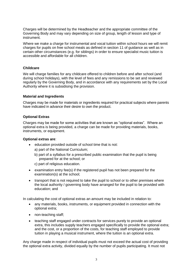Charges will be determined by the Headteacher and the appropriate committee of the Governing Body and may vary depending on size of group, length of lesson and type of instrument.

Where we make a charge for instrumental and vocal tuition within school hours we will remit charges for pupils on free school meals as defined in section 11 of guidance as well as in certain other circumstances (e.g. for siblings) in order to ensure specialist music tuition is accessible and affordable for all children.

## **Childcare**

We will charge families for any childcare offered to children before and after school (and during school holidays), with the level of fees and any remissions to be set and reviewed regularly by the Governing Body, and in accordance with any requirements set by the Local Authority where it is subsidising the provision.

## **Material and Ingredients**

Charges may be made for materials or ingredients required for practical subjects where parents have indicated in advance their desire to own the product.

# **Optional Extras**

Charges may be made for some activities that are known as "optional extras". Where an optional extra is being provided, a charge can be made for providing materials, books, instruments, or equipment.

#### **Optional extras are**:

- education provided outside of school time that is not:
	- a) part of the National Curriculum;
	- b) part of a syllabus for a prescribed public examination that the pupil is being prepared for at the school; or
	- c) part of religious education.
- examination entry fee(s) if the registered pupil has not been prepared for the examination(s) at the school;
- transport that is not required to take the pupil to school or to other premises where the local authority / governing body have arranged for the pupil to be provided with education; and

In calculating the cost of optional extras an amount may be included in relation to:

- any materials, books, instruments, or equipment provided in connection with the optional extra;
- non-teaching staff;
- teaching staff engaged under contracts for services purely to provide an optional extra, this includes supply teachers engaged specifically to provide the optional extra; and the cost, or a proportion of the costs, for teaching staff employed to provide tuition in playing a musical instrument, where the tuition is an optional extra.

Any charge made in respect of individual pupils must not exceed the actual cost of providing the optional extra activity, divided equally by the number of pupils participating. It must not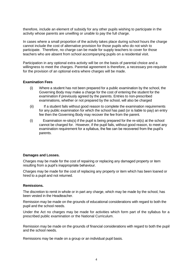therefore, include an element of subsidy for any other pupils wishing to participate in the activity whose parents are unwilling or unable to pay the full charge.

In cases where a small proportion of the activity takes place during school hours the charge cannot include the cost of alternative provision for those pupils who do not wish to participate. Therefore, no charge can be made for supply teachers to cover for those teachers who are absent from school accompanying pupils on a residential visit.

Participation in any optional extra activity will be on the basis of parental choice and a willingness to meet the charges. Parental agreement is therefore, a necessary pre-requisite for the provision of an optional extra where charges will be made.

#### **Examination Fees**

- (i) Where a student has not been prepared for a public examination by the school, the Governing Body may make a charge for the cost of entering the student for the examination if previously agreed by the parents. Entries to non-prescribed examinations, whether or not prepared by the school, will also be charged
- (ii) If a student fails without good reason to complete the examination requirements for any public examination for which the school has paid (or is liable to pay) an entry fee then the Governing Body may recover the fee from the parent.
- (i) Examination re-sits(s) if the pupil is being prepared for the re-sit(s) at the school cannot be charged for. However, if the pupil fails, without good reason, to meet any examination requirement for a syllabus, the fee can be recovered from the pupil's parents.

#### **Damages and Losses.**

Charges may be made for the cost of repairing or replacing any damaged property or item resulting from a pupil's inappropriate behaviour.

Charges may be made for the cost of replacing any property or item which has been loaned or hired to a pupil and not returned.

#### **Remissions.**

The discretion to remit in whole or in part any charge, which may be made by the school, has been vested in the Headteacher.

Remission may be made on the grounds of educational considerations with regard to both the pupil and the school needs.

Under the Act no charges may be made for activities which form part of the syllabus for a prescribed public examination or the National Curriculum.

Remission may be made on the grounds of financial considerations with regard to both the pupil and the school needs.

Remissions may be made on a group or an individual pupil basis.